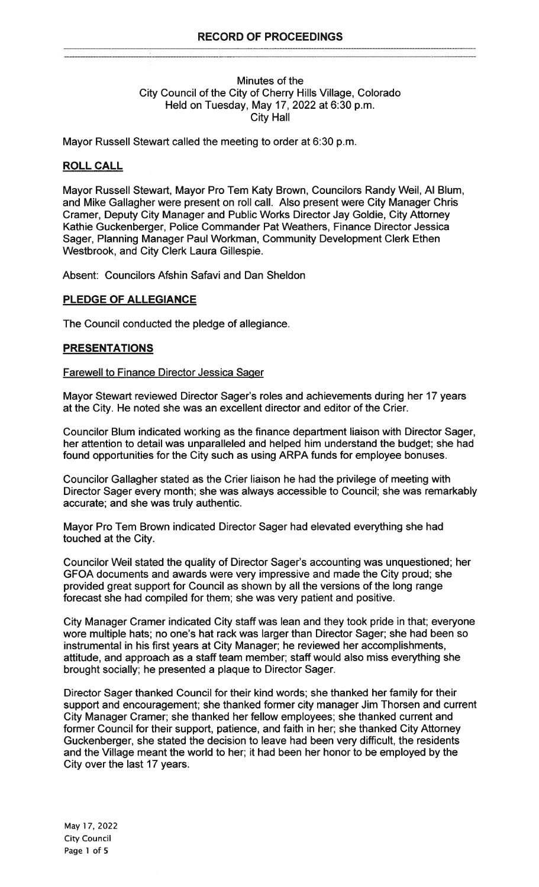### Minutes of the City Council of the City of Cherry Hills Village, Colorado Held on Tuesday, May 17, 2022 at 6:30 p.m. City Hall

Mayor Russell Stewart called the meeting to order at 6:30 p.m.

# ROLL CALL

Mayor Russell Stewart, Mayor Pro Tern Katy Brown, Councilors Randy Weil, Al Blurn, and Mike Gallagher were present on roll call. Also present were City Manager Chris Cramer, Deputy City Manager and Public Works Director Jay Goldie, City Attorney Kathie Guckenberger, Police Commander Pat Weathers, Finance Director Jessica Sager, Planning Manager Paul Workman, Community Development Clerk Ethen Westbrook, and City Clerk Laura Gillespie.

Absent: Councilors Afshin Safavi and Dan Sheldon

# PLEDGE OF ALLEGIANCE

The Council conducted the pledge of allegiance.

## **PRESENTATIONS**

### Farewell to Finance Director Jessica Sager

Mayor Stewart reviewed Director Sager's roles and achievements during her 17 years at the City. He noted she was an excellent director and editor of the Crier.

Councilor Blum indicated working as the finance department liaison with Director Sager, her attention to detail was unparalleled and helped him understand the budget; she had found opportunities for the City such as using ARPA funds for employee bonuses.

Councilor Gallagher stated as the Crier liaison he had the privilege of meeting with Director Sager every month; she was always accessible to Council; she was remarkably accurate; and she was truly authentic.

Mayor Pro Tern Brown indicated Director Sager had elevated everything she had touched at the City.

Councilor Weil stated the quality of Director Sager's accounting was unquestioned; her GFOA documents and awards were very impressive and made the City proud; she provided great support for Council as shown by all the versions of the long range forecast she had compiled for them; she was very patient and positive.

City Manager Cramer indicated City staff was lean and they took pride in that; everyone wore multiple hats; no one's hat rack was larger than Director Sager; she had been so instrumental in his first years at City Manager; he reviewed her accomplishments, attitude, and approach as a staff team member; staff would also miss everything she brought socially; he presented a plaque to Director Sager.

Director Sager thanked Council for their kind words; she thanked her family for their support and encouragement; she thanked former city manager Jim Thorsen and current City Manager Cramer; she thanked her fellow employees; she thanked current and former Council for their support, patience, and faith in her; she thanked City Afforney Guckenberger, she stated the decision to leave had been very difficult, the residents and the Village meant the world to her; it had been her honor to be employed by the City over the last 17 years.

May 17, 2022 City Council Page <sup>1</sup> of <sup>5</sup>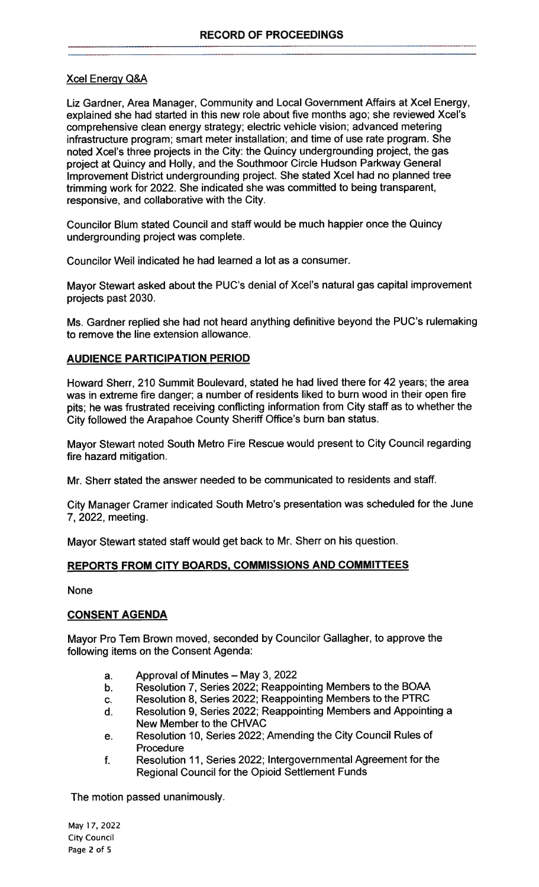# XceI Energy Q&A

Liz Gardner, Area Manager, Community and Local Government Affairs at Xcel Energy. explained she had started in this new role about five months ago; she reviewed Xcel's comprehensive clean energy strategy; electric vehicle vision; advanced metering infrastructure program; smart meter installation; and time of use rate program. She noted XceI's three projects in the City: the Quincy undergrounding project, the gas project at Quincy and Holly, and the Southmoor Circle Hudson Parkway General Improvement District undergrounding project. She stated Xcel had no planned tree trimming work for 2022. She indicated she was committed to being transparent, responsive, and collaborative with the City.

Councilor Blum stated Council and staff would be much happier once the Quincy undergrounding project was complete.

Councilor Weil indicated he had learned a lot as a consumer.

Mayor Stewart asked about the PUC's denial of XceI's natural gas capital improvement projects past 2030.

Ms. Gardner replied she had not heard anything definitive beyond the PUC's rulemaking to remove the line extension allowance.

# AUDIENCE PARTICIPATION PERIOD

Howard Sherr, 210 Summit Boulevard, stated he had lived there for 42 years; the area was in extreme fire danger; a number of residents liked to burn wood in their open tire pits; he was frustrated receiving conflicting information from City staff as to whether the City followed the Arapahoe County Sheriff Office's burn ban status.

Mayor Stewart noted South Metro Fire Rescue would present to City Council regarding fire hazard mitigation.

Mr. Sherr stated the answer needed to be communicated to residents and staff.

City Manager Cramer indicated South Metro's presentation was scheduled for the June 7, 2022, meeting.

Mayor Stewart stated staff would get back to Mr. Sherr on his question.

# REPORTS FROM CITY BOARDS, COMMISSIONS AND COMMITTEES

None

# CONSENT AGENDA

Mayor Pro Tern Brown moved, seconded by Councilor Gallagher, to approve the following items on the Consent Agenda:

- a. Approval of Minutes May 3, 2022
- b. Resolution 7, Series 2022; Reappointing Members to the BOAA
- c. Resolution 8, Series 2022; Reappointing Members to the PTRC
- d. Resolution 9, Series 2022; Reappointing Members and Appointing a New Member to the CHVAC
- e. Resolution 10, Series 2022; Amending the City Council Rules of Procedure
- f. Resolution 11, Series 2022; Intergovernmental Agreement for the Regional Council for the Opioid Settlement Funds

The motion passed unanimously.

May 17, 2022 City Council Page 2 of <sup>5</sup>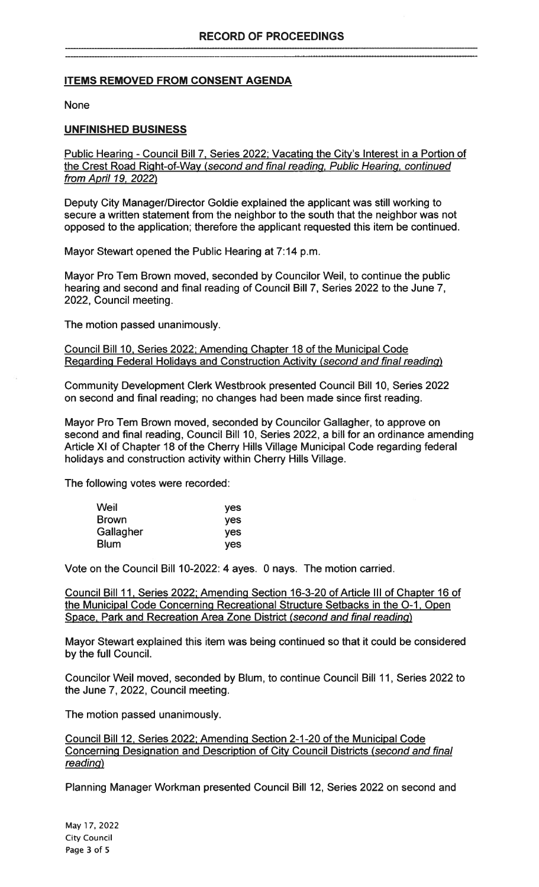# ITEMS REMOVED FROM CONSENT AGENDA

#### None

### UNFINISHED BUSINESS

Public Hearing - Council Bill 7, Series 2022; Vacating the City's Interest in a Portion of the Crest Road Right-of-Way (second and final reading, Public Hearing, continued from April 19, 2022)

Deputy City Manager/Director Goldie explained the applicant was still working to secure a written statement from the neighbor to the south that the neighbor was not opposed to the application; therefore the applicant requested this item be continued.

Mayor Stewart opened the Public Hearing at 7:14 p.m.

Mayor Pro Tem Brown moved, seconded by Councilor Weil, to continue the public hearing and second and final reading of Council Bill 7, Series 2022 to the June 7, 2022, Council meeting.

The motion passed unanimously.

### Council Bill 10, Series 2022; Amending Chapter 18 of the Municipal Code Regarding Federal Holidays and Construction Activity (second and final reading)

Community Development Clerk Westbrook presented Council Bill 10, Series 2022 on second and final reading; no changes had been made since first reading.

Mayor Pro Tem Brown moved, seconded by Councilor Gallagher, to approve on second and final reading, Council Bill 10, Series 2022, a bill for an ordinance amending Article Xl of Chapter 18 of the Cherry Hills Village Municipal Code regarding federal holidays and construction activity within Cherry Hills Village.

The following votes were recorded:

| Weil         | yes        |
|--------------|------------|
| <b>Brown</b> | <b>ves</b> |
| Gallagher    | yes        |
| <b>Blum</b>  | <b>ves</b> |

Vote on the Council Bill 10-2022: 4 ayes. 0 nays. The motion carried.

Council Bill 11, Series 2022; Amending Section 16-3-20 of Article Ill of Chapter 16 of the Municipal Code Concerning Recreational Structure Setbacks in the 0-1, Open Space, Park and Recreation Area Zone District (second and final reading)

Mayor Stewart explained this item was being continued so that it could be considered by the full Council.

Councilor Weil moved, seconded by Blum, to continue Council Bill 11, Series 2022 to the June 7, 2022, Council meeting.

The motion passed unanimously.

Council Bill 12, Series 2022; Amending Section 2-1-20 of the Municipal Code Concerning Designation and Description of City Council Districts (second and final reading)

Planning Manager Workman presented Council Bill 12, Series 2022 on second and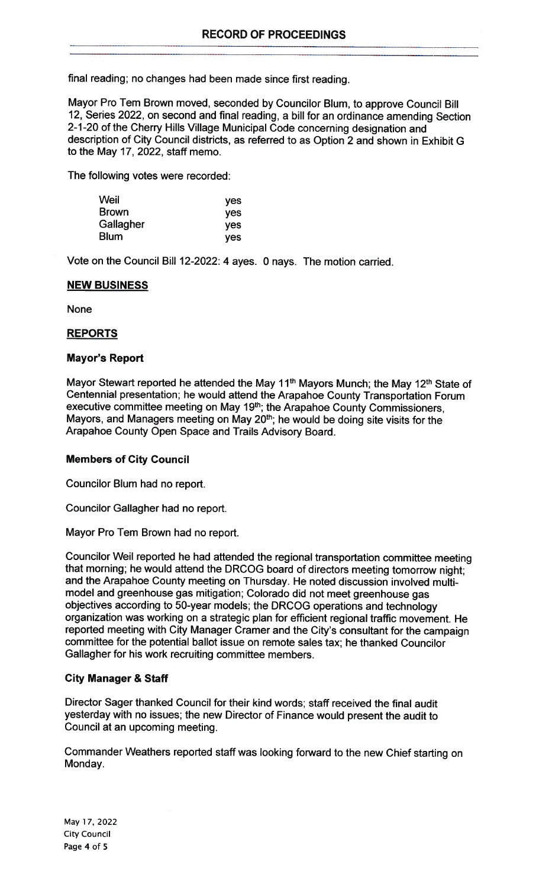final reading; no changes had been made since first reading.

Mayor Pro Tern Brown moved, seconded by Councilor Blum, to approve Council Bill 12, Series 2022, on second and final reading, a bill for an ordinance amending Section 2-1-20 of the Cherry Hills Village Municipal Code concerning designation and description of City Council districts, as referred to as Option 2 and shown in Exhibit G to the May 17, 2022, staff memo.

The following votes were recorded:

| Weil         | yes        |
|--------------|------------|
| <b>Brown</b> | yes        |
| Gallagher    | <b>ves</b> |
| <b>Blum</b>  | <b>ves</b> |

Vote on the Council Bill 12-2022: 4 ayes. 0 nays. The motion carried.

## NEW BUSINESS

None

# REPORTS

## Mayor's Report

Mayor Stewart reported he attended the May 11<sup>th</sup> Mayors Munch; the May 12<sup>th</sup> State of Centennial presentation; he would attend the Arapahoe County Transportation Forum executive committee meeting on May 19<sup>th</sup>; the Arapahoe County Commissioners, Mayors, and Managers meeting on May 20<sup>th</sup>; he would be doing site visits for the Arapahoe County Open Space and Trails Advisory Board.

### Members of City Council

Councilor Blum had no report.

Councilor Gallagher had no report.

Mayor Pro Tem Brown had no report.

Councilor Weil reported he had attended the regional transportation committee meeting that morning; he would attend the DRCOG board of directors meeting tomorrow night; and the Arapahoe County meeting on Thursday. He noted discussion involved multimodel and greenhouse gas mitigation; Colorado did not meet greenhouse gas objectives according to 50-year models; the DRCOG operations and technology organization was working on a strategic plan for efficient regional traffic movement. He reported meeting with City Manager Cramer and the City's consultant for the campaign committee for the potential ballot issue on remote sales tax; he thanked Councilor Gallagher for his work recruiting committee members.

### City Manager & Staff

Director Sager thanked Council for their kind words; staff received the final audit yesterday with no issues; the new Director of Finance would present the audit to Council at an upcoming meeting.

Commander Weathers reported staff was looking forward to the new Chief starting on Monday.